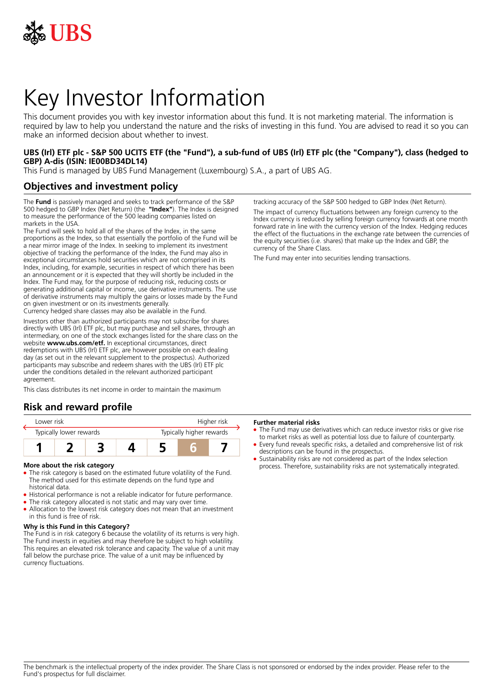

# Key Investor Information

This document provides you with key investor information about this fund. It is not marketing material. The information is required by law to help you understand the nature and the risks of investing in this fund. You are advised to read it so you can make an informed decision about whether to invest.

### **UBS (Irl) ETF plc - S&P 500 UCITS ETF (the "Fund"), a sub-fund of UBS (Irl) ETF plc (the "Company"), class (hedged to GBP) A-dis (ISIN: IE00BD34DL14)**

This Fund is managed by UBS Fund Management (Luxembourg) S.A., a part of UBS AG.

## **Objectives and investment policy**

The **Fund** is passively managed and seeks to track performance of the S&P 500 hedged to GBP Index (Net Return) (the **"Index"**). The Index is designed to measure the performance of the 500 leading companies listed on markets in the USA.

The Fund will seek to hold all of the shares of the Index, in the same proportions as the Index, so that essentially the portfolio of the Fund will be a near mirror image of the Index. In seeking to implement its investment objective of tracking the performance of the Index, the Fund may also in exceptional circumstances hold securities which are not comprised in its Index, including, for example, securities in respect of which there has been an announcement or it is expected that they will shortly be included in the Index. The Fund may, for the purpose of reducing risk, reducing costs or generating additional capital or income, use derivative instruments. The use of derivative instruments may multiply the gains or losses made by the Fund on given investment or on its investments generally.

Currency hedged share classes may also be available in the Fund.

Investors other than authorized participants may not subscribe for shares directly with UBS (Irl) ETF plc, but may purchase and sell shares, through an intermediary, on one of the stock exchanges listed for the share class on the website **www.ubs.com/etf.** In exceptional circumstances, direct redemptions with UBS (Irl) ETF plc, are however possible on each dealing day (as set out in the relevant supplement to the prospectus). Authorized participants may subscribe and redeem shares with the UBS (Irl) ETF plc under the conditions detailed in the relevant authorized participant agreement

This class distributes its net income in order to maintain the maximum

## **Risk and reward profile**

| Lower risk              |  |  |  | Higher risk              |  |  |
|-------------------------|--|--|--|--------------------------|--|--|
| Typically lower rewards |  |  |  | Typically higher rewards |  |  |
|                         |  |  |  |                          |  |  |

#### **More about the risk category**

- The risk category is based on the estimated future volatility of the Fund. The method used for this estimate depends on the fund type and historical data.
- Historical performance is not a reliable indicator for future performance.
- The risk category allocated is not static and may vary over time.
- Allocation to the lowest risk category does not mean that an investment in this fund is free of risk.

#### **Why is this Fund in this Category?**

The Fund is in risk category 6 because the volatility of its returns is very high. The Fund invests in equities and may therefore be subject to high volatility. This requires an elevated risk tolerance and capacity. The value of a unit may fall below the purchase price. The value of a unit may be influenced by currency fluctuations.

tracking accuracy of the S&P 500 hedged to GBP Index (Net Return).

The impact of currency fluctuations between any foreign currency to the Index currency is reduced by selling foreign currency forwards at one month forward rate in line with the currency version of the Index. Hedging reduces the effect of the fluctuations in the exchange rate between the currencies of the equity securities (i.e. shares) that make up the Index and GBP, the currency of the Share Class.

The Fund may enter into securities lending transactions.

#### **Further material risks**

- The Fund may use derivatives which can reduce investor risks or give rise to market risks as well as potential loss due to failure of counterparty.
- 5 Every fund reveals specific risks, a detailed and comprehensive list of risk descriptions can be found in the prospectus.
- Sustainability risks are not considered as part of the Index selection process. Therefore, sustainability risks are not systematically integrated.